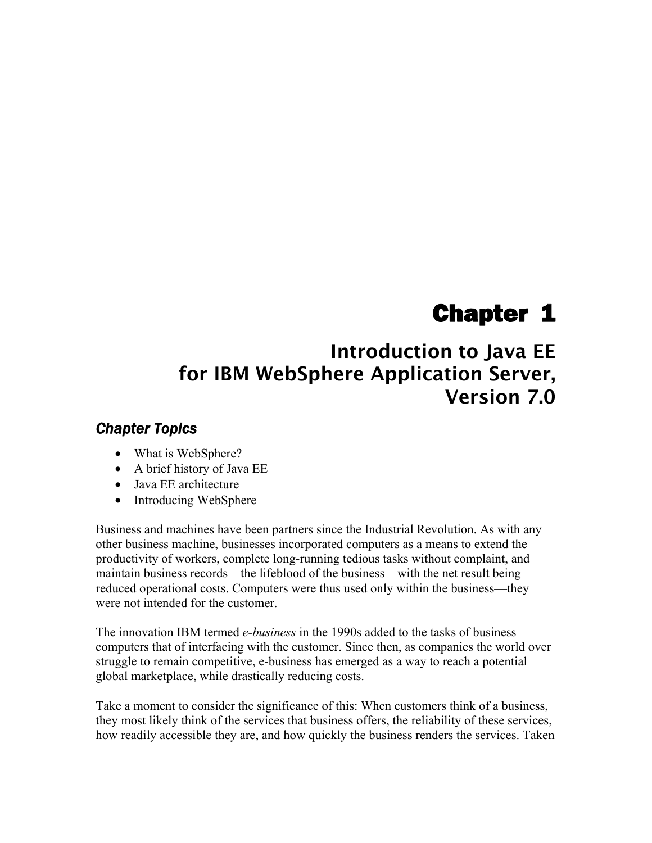# Chapter 1

# **Introduction to Java EE for IBM WebSphere Application Server, Version 7.0**

#### *Chapter Topics*

- What is WebSphere?
- A brief history of Java EE
- Java EE architecture
- Introducing WebSphere

Business and machines have been partners since the Industrial Revolution. As with any other business machine, businesses incorporated computers as a means to extend the productivity of workers, complete long-running tedious tasks without complaint, and maintain business records—the lifeblood of the business—with the net result being reduced operational costs. Computers were thus used only within the business—they were not intended for the customer.

The innovation IBM termed *e-business* in the 1990s added to the tasks of business computers that of interfacing with the customer. Since then, as companies the world over struggle to remain competitive, e-business has emerged as a way to reach a potential global marketplace, while drastically reducing costs.

Take a moment to consider the significance of this: When customers think of a business, they most likely think of the services that business offers, the reliability of these services, how readily accessible they are, and how quickly the business renders the services. Taken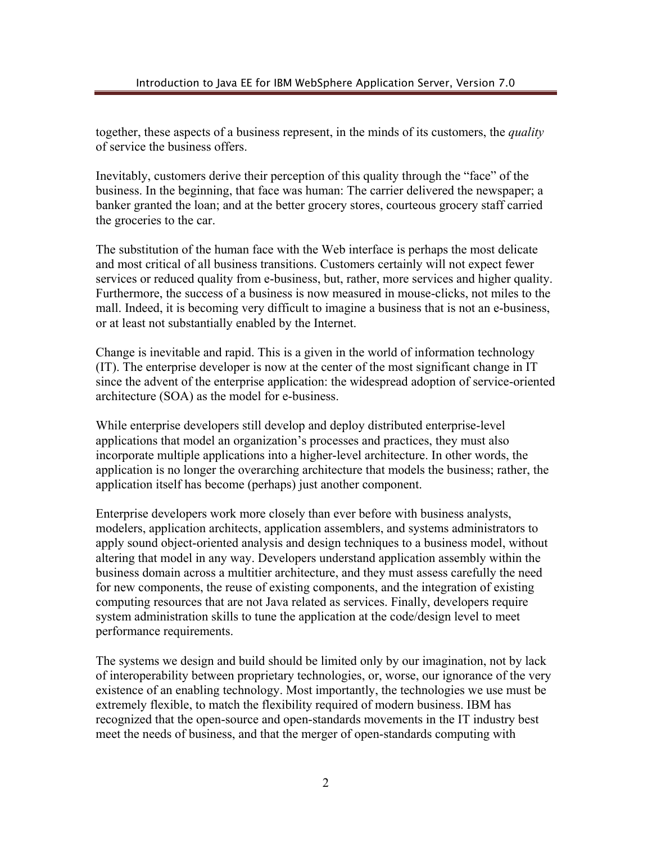together, these aspects of a business represent, in the minds of its customers, the *quality* of service the business offers.

Inevitably, customers derive their perception of this quality through the "face" of the business. In the beginning, that face was human: The carrier delivered the newspaper; a banker granted the loan; and at the better grocery stores, courteous grocery staff carried the groceries to the car.

The substitution of the human face with the Web interface is perhaps the most delicate and most critical of all business transitions. Customers certainly will not expect fewer services or reduced quality from e-business, but, rather, more services and higher quality. Furthermore, the success of a business is now measured in mouse-clicks, not miles to the mall. Indeed, it is becoming very difficult to imagine a business that is not an e-business, or at least not substantially enabled by the Internet.

Change is inevitable and rapid. This is a given in the world of information technology (IT). The enterprise developer is now at the center of the most significant change in IT since the advent of the enterprise application: the widespread adoption of service-oriented architecture (SOA) as the model for e-business.

While enterprise developers still develop and deploy distributed enterprise-level applications that model an organization's processes and practices, they must also incorporate multiple applications into a higher-level architecture. In other words, the application is no longer the overarching architecture that models the business; rather, the application itself has become (perhaps) just another component.

Enterprise developers work more closely than ever before with business analysts, modelers, application architects, application assemblers, and systems administrators to apply sound object-oriented analysis and design techniques to a business model, without altering that model in any way. Developers understand application assembly within the business domain across a multitier architecture, and they must assess carefully the need for new components, the reuse of existing components, and the integration of existing computing resources that are not Java related as services. Finally, developers require system administration skills to tune the application at the code/design level to meet performance requirements.

The systems we design and build should be limited only by our imagination, not by lack of interoperability between proprietary technologies, or, worse, our ignorance of the very existence of an enabling technology. Most importantly, the technologies we use must be extremely flexible, to match the flexibility required of modern business. IBM has recognized that the open-source and open-standards movements in the IT industry best meet the needs of business, and that the merger of open-standards computing with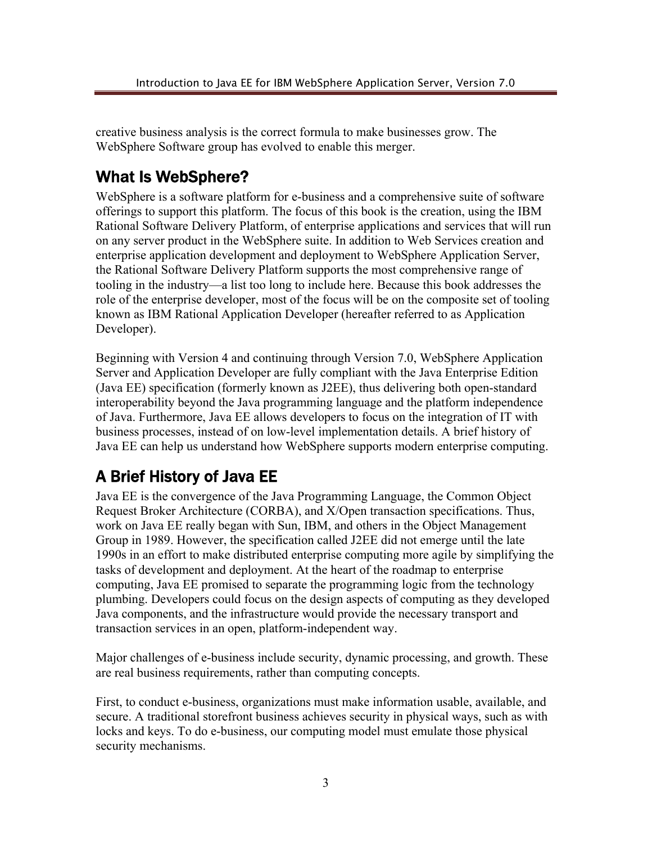creative business analysis is the correct formula to make businesses grow. The WebSphere Software group has evolved to enable this merger.

# What Is WebSphere?

WebSphere is a software platform for e-business and a comprehensive suite of software offerings to support this platform. The focus of this book is the creation, using the IBM Rational Software Delivery Platform, of enterprise applications and services that will run on any server product in the WebSphere suite. In addition to Web Services creation and enterprise application development and deployment to WebSphere Application Server, the Rational Software Delivery Platform supports the most comprehensive range of tooling in the industry—a list too long to include here. Because this book addresses the role of the enterprise developer, most of the focus will be on the composite set of tooling known as IBM Rational Application Developer (hereafter referred to as Application Developer).

Beginning with Version 4 and continuing through Version 7.0, WebSphere Application Server and Application Developer are fully compliant with the Java Enterprise Edition (Java EE) specification (formerly known as J2EE), thus delivering both open-standard interoperability beyond the Java programming language and the platform independence of Java. Furthermore, Java EE allows developers to focus on the integration of IT with business processes, instead of on low-level implementation details. A brief history of Java EE can help us understand how WebSphere supports modern enterprise computing.

# A Brief History of Java EE

Java EE is the convergence of the Java Programming Language, the Common Object Request Broker Architecture (CORBA), and X/Open transaction specifications. Thus, work on Java EE really began with Sun, IBM, and others in the Object Management Group in 1989. However, the specification called J2EE did not emerge until the late 1990s in an effort to make distributed enterprise computing more agile by simplifying the tasks of development and deployment. At the heart of the roadmap to enterprise computing, Java EE promised to separate the programming logic from the technology plumbing. Developers could focus on the design aspects of computing as they developed Java components, and the infrastructure would provide the necessary transport and transaction services in an open, platform-independent way.

Major challenges of e-business include security, dynamic processing, and growth. These are real business requirements, rather than computing concepts.

First, to conduct e-business, organizations must make information usable, available, and secure. A traditional storefront business achieves security in physical ways, such as with locks and keys. To do e-business, our computing model must emulate those physical security mechanisms.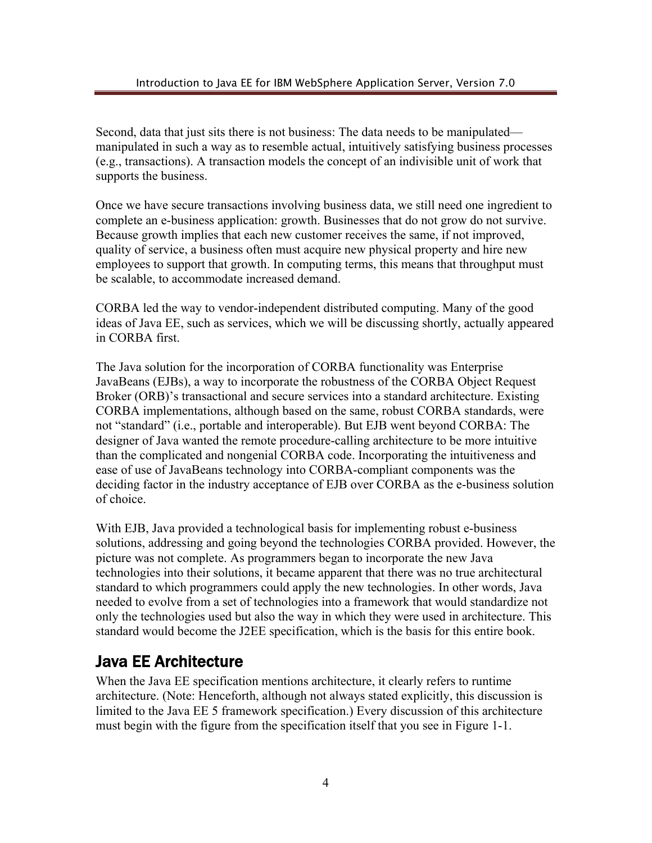Second, data that just sits there is not business: The data needs to be manipulated manipulated in such a way as to resemble actual, intuitively satisfying business processes (e.g., transactions). A transaction models the concept of an indivisible unit of work that supports the business.

Once we have secure transactions involving business data, we still need one ingredient to complete an e-business application: growth. Businesses that do not grow do not survive. Because growth implies that each new customer receives the same, if not improved, quality of service, a business often must acquire new physical property and hire new employees to support that growth. In computing terms, this means that throughput must be scalable, to accommodate increased demand.

CORBA led the way to vendor-independent distributed computing. Many of the good ideas of Java EE, such as services, which we will be discussing shortly, actually appeared in CORBA first.

The Java solution for the incorporation of CORBA functionality was Enterprise JavaBeans (EJBs), a way to incorporate the robustness of the CORBA Object Request Broker (ORB)'s transactional and secure services into a standard architecture. Existing CORBA implementations, although based on the same, robust CORBA standards, were not "standard" (i.e., portable and interoperable). But EJB went beyond CORBA: The designer of Java wanted the remote procedure-calling architecture to be more intuitive than the complicated and nongenial CORBA code. Incorporating the intuitiveness and ease of use of JavaBeans technology into CORBA-compliant components was the deciding factor in the industry acceptance of EJB over CORBA as the e-business solution of choice.

With EJB, Java provided a technological basis for implementing robust e-business solutions, addressing and going beyond the technologies CORBA provided. However, the picture was not complete. As programmers began to incorporate the new Java technologies into their solutions, it became apparent that there was no true architectural standard to which programmers could apply the new technologies. In other words, Java needed to evolve from a set of technologies into a framework that would standardize not only the technologies used but also the way in which they were used in architecture. This standard would become the J2EE specification, which is the basis for this entire book.

# Java EE Architecture

When the Java EE specification mentions architecture, it clearly refers to runtime architecture. (Note: Henceforth, although not always stated explicitly, this discussion is limited to the Java EE 5 framework specification.) Every discussion of this architecture must begin with the figure from the specification itself that you see in Figure 1-1.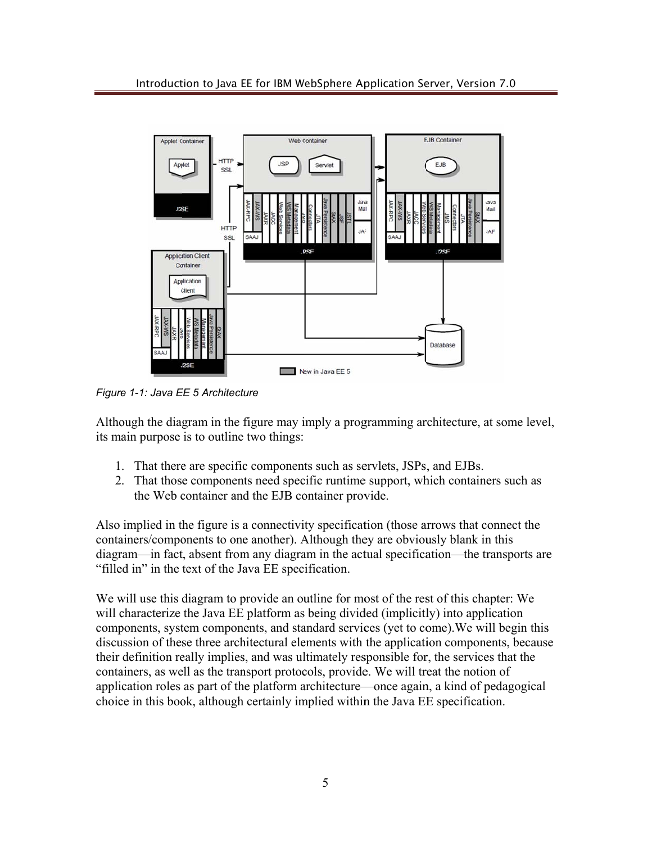

*Figure 1-1: Java EE 5 Architecture* 

Although the diagram in the figure may imply a programming architecture, at some level, its main purpose is to outline two things:

- 1. That there are specific components such as servlets, JSPs, and EJBs.
- 2. That those components need specific runtime support, which containers such as the Web container and the EJB container provide.

Also implied in the figure is a connectivity specification (those arrows that connect the containers/components to one another). Although they are obviously blank in this diagram—in fact, absent from any diagram in the actual specification—the transports are "filled in" in the text of the Java EE specification.

We will use this diagram to provide an outline for most of the rest of this chapter: We will characterize the Java EE platform as being divided (implicitly) into application components, system components, and standard services (yet to come). We will begin this discussion of these three architectural elements with the application components, becaus their definition really implies, and was ultimately responsible for, the services that the containers, as well as the transport protocols, provide. We will treat the notion of application roles as part of the platform architecture—once again, a kind of pedagogical choice in this book, although certainly implied within the Java EE specification. re<br>s<br>se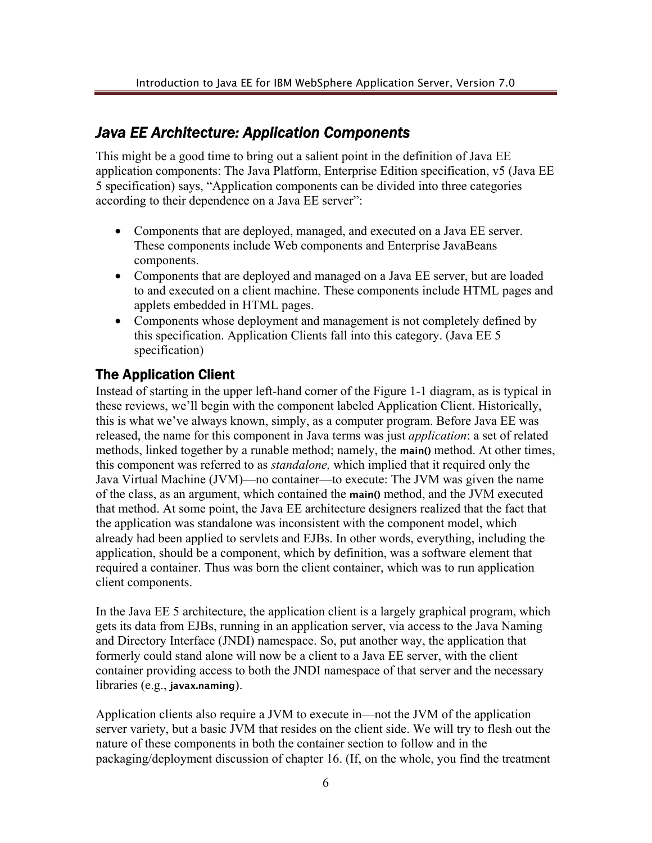### *Java EE Architecture: Application Components*

This might be a good time to bring out a salient point in the definition of Java EE application components: The Java Platform, Enterprise Edition specification, v5 (Java EE 5 specification) says, "Application components can be divided into three categories according to their dependence on a Java EE server":

- Components that are deployed, managed, and executed on a Java EE server. These components include Web components and Enterprise JavaBeans components.
- Components that are deployed and managed on a Java EE server, but are loaded to and executed on a client machine. These components include HTML pages and applets embedded in HTML pages.
- Components whose deployment and management is not completely defined by this specification. Application Clients fall into this category. (Java EE 5 specification)

#### The Application Client

Instead of starting in the upper left-hand corner of the Figure 1-1 diagram, as is typical in these reviews, we'll begin with the component labeled Application Client. Historically, this is what we've always known, simply, as a computer program. Before Java EE was released, the name for this component in Java terms was just *application*: a set of related methods, linked together by a runable method; namely, the **main()** method. At other times, this component was referred to as *standalone,* which implied that it required only the Java Virtual Machine (JVM)—no container—to execute: The JVM was given the name of the class, as an argument, which contained the **main()** method, and the JVM executed that method. At some point, the Java EE architecture designers realized that the fact that the application was standalone was inconsistent with the component model, which already had been applied to servlets and EJBs. In other words, everything, including the application, should be a component, which by definition, was a software element that required a container. Thus was born the client container, which was to run application client components.

In the Java EE 5 architecture, the application client is a largely graphical program, which gets its data from EJBs, running in an application server, via access to the Java Naming and Directory Interface (JNDI) namespace. So, put another way, the application that formerly could stand alone will now be a client to a Java EE server, with the client container providing access to both the JNDI namespace of that server and the necessary libraries (e.g., **javax.naming**).

Application clients also require a JVM to execute in—not the JVM of the application server variety, but a basic JVM that resides on the client side. We will try to flesh out the nature of these components in both the container section to follow and in the packaging/deployment discussion of chapter 16. (If, on the whole, you find the treatment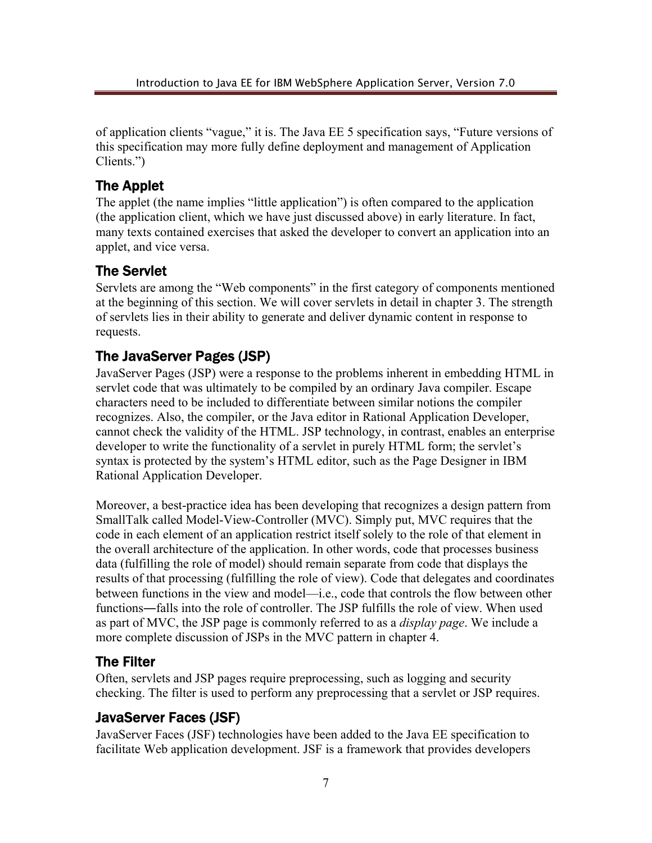of application clients "vague," it is. The Java EE 5 specification says, "Future versions of this specification may more fully define deployment and management of Application Clients.")

#### The Applet

The applet (the name implies "little application") is often compared to the application (the application client, which we have just discussed above) in early literature. In fact, many texts contained exercises that asked the developer to convert an application into an applet, and vice versa.

#### The Servlet

Servlets are among the "Web components" in the first category of components mentioned at the beginning of this section. We will cover servlets in detail in chapter 3. The strength of servlets lies in their ability to generate and deliver dynamic content in response to requests.

### The JavaServer Pages (JSP)

JavaServer Pages (JSP) were a response to the problems inherent in embedding HTML in servlet code that was ultimately to be compiled by an ordinary Java compiler. Escape characters need to be included to differentiate between similar notions the compiler recognizes. Also, the compiler, or the Java editor in Rational Application Developer, cannot check the validity of the HTML. JSP technology, in contrast, enables an enterprise developer to write the functionality of a servlet in purely HTML form; the servlet's syntax is protected by the system's HTML editor, such as the Page Designer in IBM Rational Application Developer.

Moreover, a best-practice idea has been developing that recognizes a design pattern from SmallTalk called Model-View-Controller (MVC). Simply put, MVC requires that the code in each element of an application restrict itself solely to the role of that element in the overall architecture of the application. In other words, code that processes business data (fulfilling the role of model) should remain separate from code that displays the results of that processing (fulfilling the role of view). Code that delegates and coordinates between functions in the view and model—i.e., code that controls the flow between other functions―falls into the role of controller. The JSP fulfills the role of view. When used as part of MVC, the JSP page is commonly referred to as a *display page*. We include a more complete discussion of JSPs in the MVC pattern in chapter 4.

#### The Filter

Often, servlets and JSP pages require preprocessing, such as logging and security checking. The filter is used to perform any preprocessing that a servlet or JSP requires.

#### JavaServer Faces (JSF)

JavaServer Faces (JSF) technologies have been added to the Java EE specification to facilitate Web application development. JSF is a framework that provides developers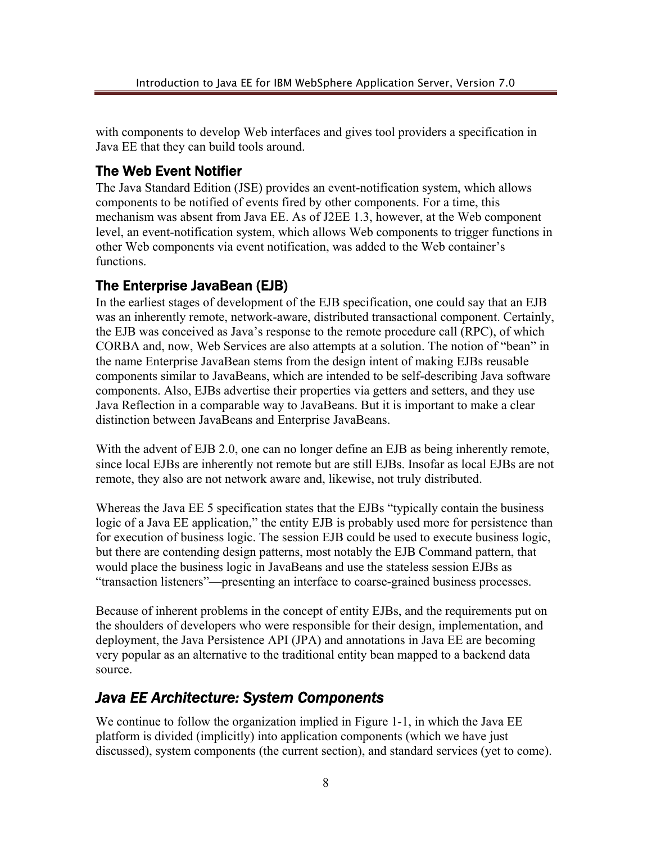with components to develop Web interfaces and gives tool providers a specification in Java EE that they can build tools around.

#### The Web Event Notifier

The Java Standard Edition (JSE) provides an event-notification system, which allows components to be notified of events fired by other components. For a time, this mechanism was absent from Java EE. As of J2EE 1.3, however, at the Web component level, an event-notification system, which allows Web components to trigger functions in other Web components via event notification, was added to the Web container's functions.

#### The Enterprise JavaBean (EJB)

In the earliest stages of development of the EJB specification, one could say that an EJB was an inherently remote, network-aware, distributed transactional component. Certainly, the EJB was conceived as Java's response to the remote procedure call (RPC), of which CORBA and, now, Web Services are also attempts at a solution. The notion of "bean" in the name Enterprise JavaBean stems from the design intent of making EJBs reusable components similar to JavaBeans, which are intended to be self-describing Java software components. Also, EJBs advertise their properties via getters and setters, and they use Java Reflection in a comparable way to JavaBeans. But it is important to make a clear distinction between JavaBeans and Enterprise JavaBeans.

With the advent of EJB 2.0, one can no longer define an EJB as being inherently remote, since local EJBs are inherently not remote but are still EJBs. Insofar as local EJBs are not remote, they also are not network aware and, likewise, not truly distributed.

Whereas the Java EE 5 specification states that the EJBs "typically contain the business logic of a Java EE application," the entity EJB is probably used more for persistence than for execution of business logic. The session EJB could be used to execute business logic, but there are contending design patterns, most notably the EJB Command pattern, that would place the business logic in JavaBeans and use the stateless session EJBs as "transaction listeners"—presenting an interface to coarse-grained business processes.

Because of inherent problems in the concept of entity EJBs, and the requirements put on the shoulders of developers who were responsible for their design, implementation, and deployment, the Java Persistence API (JPA) and annotations in Java EE are becoming very popular as an alternative to the traditional entity bean mapped to a backend data source.

### *Java EE Architecture: System Components*

We continue to follow the organization implied in Figure 1-1, in which the Java EE platform is divided (implicitly) into application components (which we have just discussed), system components (the current section), and standard services (yet to come).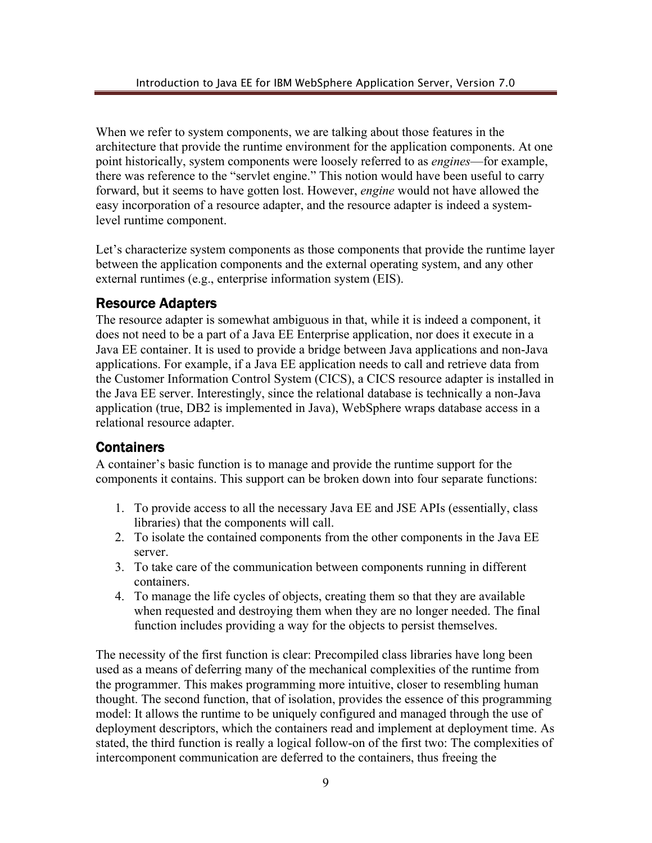When we refer to system components, we are talking about those features in the architecture that provide the runtime environment for the application components. At one point historically, system components were loosely referred to as *engines*—for example, there was reference to the "servlet engine." This notion would have been useful to carry forward, but it seems to have gotten lost. However, *engine* would not have allowed the easy incorporation of a resource adapter, and the resource adapter is indeed a systemlevel runtime component.

Let's characterize system components as those components that provide the runtime layer between the application components and the external operating system, and any other external runtimes (e.g., enterprise information system (EIS).

#### Resource Adapters

The resource adapter is somewhat ambiguous in that, while it is indeed a component, it does not need to be a part of a Java EE Enterprise application, nor does it execute in a Java EE container. It is used to provide a bridge between Java applications and non-Java applications. For example, if a Java EE application needs to call and retrieve data from the Customer Information Control System (CICS), a CICS resource adapter is installed in the Java EE server. Interestingly, since the relational database is technically a non-Java application (true, DB2 is implemented in Java), WebSphere wraps database access in a relational resource adapter.

#### **Containers**

A container's basic function is to manage and provide the runtime support for the components it contains. This support can be broken down into four separate functions:

- 1. To provide access to all the necessary Java EE and JSE APIs (essentially, class libraries) that the components will call.
- 2. To isolate the contained components from the other components in the Java EE server.
- 3. To take care of the communication between components running in different containers.
- 4. To manage the life cycles of objects, creating them so that they are available when requested and destroying them when they are no longer needed. The final function includes providing a way for the objects to persist themselves.

The necessity of the first function is clear: Precompiled class libraries have long been used as a means of deferring many of the mechanical complexities of the runtime from the programmer. This makes programming more intuitive, closer to resembling human thought. The second function, that of isolation, provides the essence of this programming model: It allows the runtime to be uniquely configured and managed through the use of deployment descriptors, which the containers read and implement at deployment time. As stated, the third function is really a logical follow-on of the first two: The complexities of intercomponent communication are deferred to the containers, thus freeing the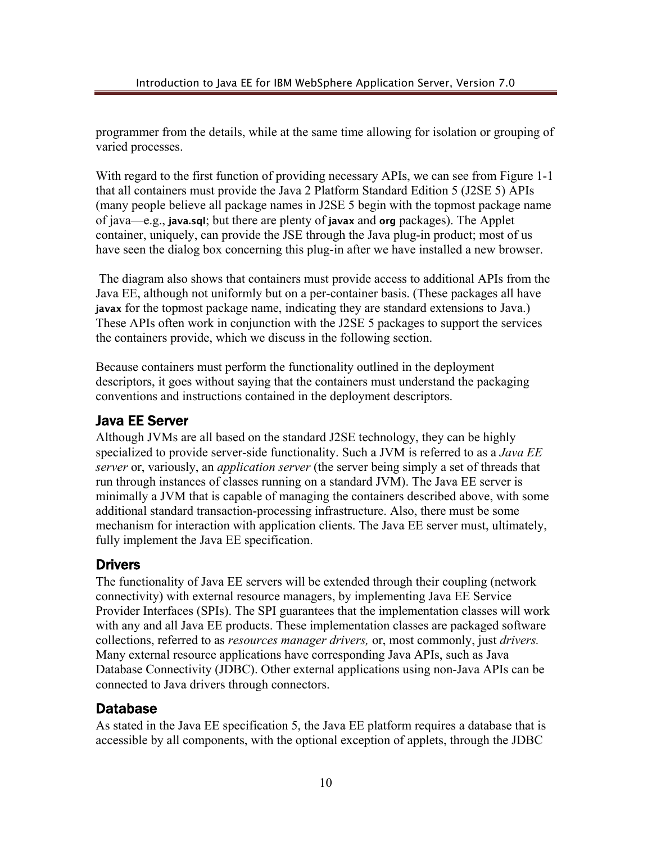programmer from the details, while at the same time allowing for isolation or grouping of varied processes.

With regard to the first function of providing necessary APIs, we can see from Figure 1-1 that all containers must provide the Java 2 Platform Standard Edition 5 (J2SE 5) APIs (many people believe all package names in J2SE 5 begin with the topmost package name of java—e.g., **java.sql**; but there are plenty of **javax** and **org** packages). The Applet container, uniquely, can provide the JSE through the Java plug-in product; most of us have seen the dialog box concerning this plug-in after we have installed a new browser.

 The diagram also shows that containers must provide access to additional APIs from the Java EE, although not uniformly but on a per-container basis. (These packages all have **javax** for the topmost package name, indicating they are standard extensions to Java.) These APIs often work in conjunction with the J2SE 5 packages to support the services the containers provide, which we discuss in the following section.

Because containers must perform the functionality outlined in the deployment descriptors, it goes without saying that the containers must understand the packaging conventions and instructions contained in the deployment descriptors.

#### Java EE Server

Although JVMs are all based on the standard J2SE technology, they can be highly specialized to provide server-side functionality. Such a JVM is referred to as a *Java EE server* or, variously, an *application server* (the server being simply a set of threads that run through instances of classes running on a standard JVM). The Java EE server is minimally a JVM that is capable of managing the containers described above, with some additional standard transaction-processing infrastructure. Also, there must be some mechanism for interaction with application clients. The Java EE server must, ultimately, fully implement the Java EE specification.

#### **Drivers**

The functionality of Java EE servers will be extended through their coupling (network connectivity) with external resource managers, by implementing Java EE Service Provider Interfaces (SPIs). The SPI guarantees that the implementation classes will work with any and all Java EE products. These implementation classes are packaged software collections, referred to as *resources manager drivers,* or, most commonly, just *drivers.* Many external resource applications have corresponding Java APIs, such as Java Database Connectivity (JDBC). Other external applications using non-Java APIs can be connected to Java drivers through connectors.

#### Database

As stated in the Java EE specification 5, the Java EE platform requires a database that is accessible by all components, with the optional exception of applets, through the JDBC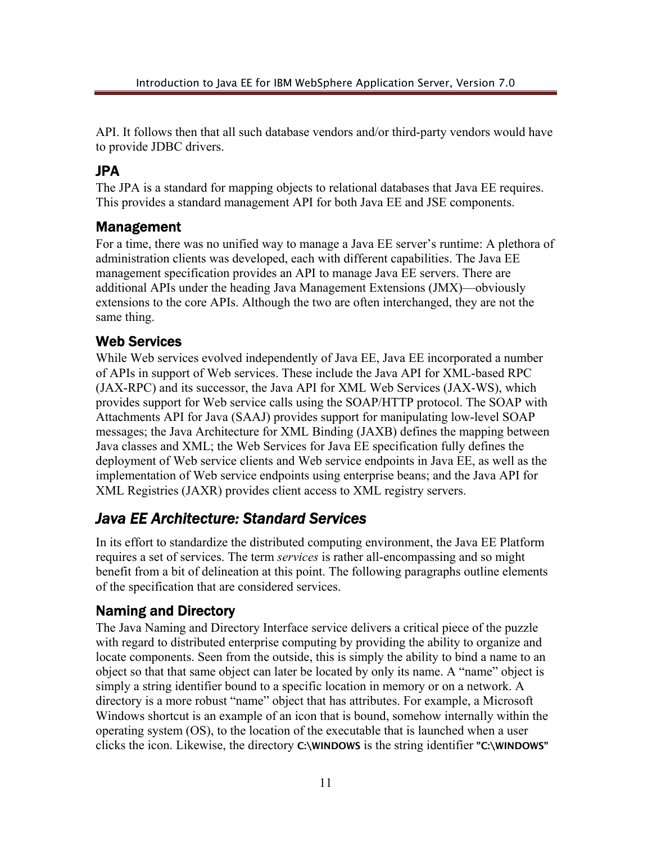API. It follows then that all such database vendors and/or third-party vendors would have to provide JDBC drivers.

#### JPA

The JPA is a standard for mapping objects to relational databases that Java EE requires. This provides a standard management API for both Java EE and JSE components.

#### Management

For a time, there was no unified way to manage a Java EE server's runtime: A plethora of administration clients was developed, each with different capabilities. The Java EE management specification provides an API to manage Java EE servers. There are additional APIs under the heading Java Management Extensions (JMX)—obviously extensions to the core APIs. Although the two are often interchanged, they are not the same thing.

#### Web Services

While Web services evolved independently of Java EE, Java EE incorporated a number of APIs in support of Web services. These include the Java API for XML-based RPC (JAX-RPC) and its successor, the Java API for XML Web Services (JAX-WS), which provides support for Web service calls using the SOAP/HTTP protocol. The SOAP with Attachments API for Java (SAAJ) provides support for manipulating low-level SOAP messages; the Java Architecture for XML Binding (JAXB) defines the mapping between Java classes and XML; the Web Services for Java EE specification fully defines the deployment of Web service clients and Web service endpoints in Java EE, as well as the implementation of Web service endpoints using enterprise beans; and the Java API for XML Registries (JAXR) provides client access to XML registry servers.

### *Java EE Architecture: Standard Services*

In its effort to standardize the distributed computing environment, the Java EE Platform requires a set of services. The term *services* is rather all-encompassing and so might benefit from a bit of delineation at this point. The following paragraphs outline elements of the specification that are considered services.

#### Naming and Directory

The Java Naming and Directory Interface service delivers a critical piece of the puzzle with regard to distributed enterprise computing by providing the ability to organize and locate components. Seen from the outside, this is simply the ability to bind a name to an object so that that same object can later be located by only its name. A "name" object is simply a string identifier bound to a specific location in memory or on a network. A directory is a more robust "name" object that has attributes. For example, a Microsoft Windows shortcut is an example of an icon that is bound, somehow internally within the operating system (OS), to the location of the executable that is launched when a user clicks the icon. Likewise, the directory **C:\WINDOWS** is the string identifier **"C:\WINDOWS"**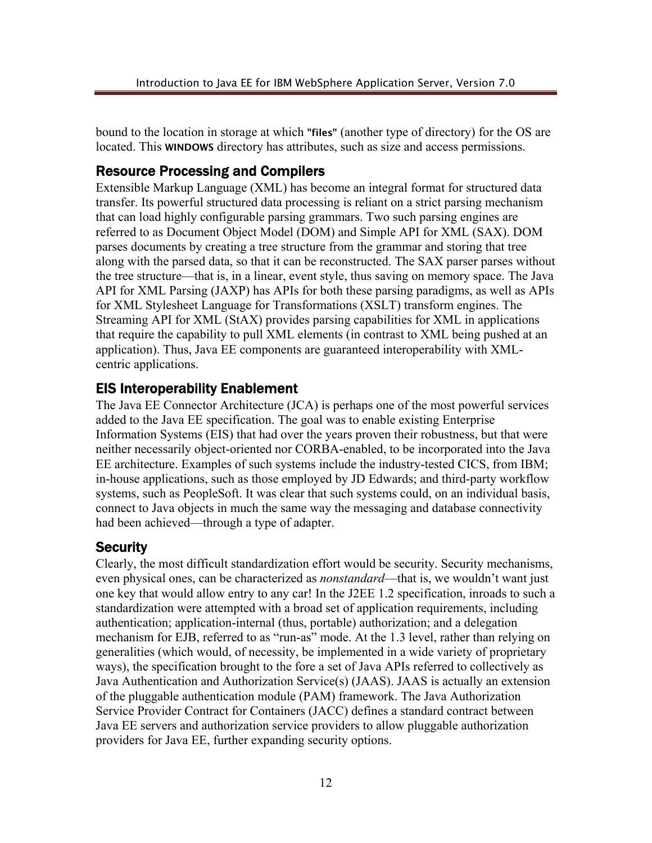bound to the location in storage at which **"files"** (another type of directory) for the OS are located. This **WINDOWS** directory has attributes, such as size and access permissions.

#### Resource Processing and Compilers

Extensible Markup Language (XML) has become an integral format for structured data transfer. Its powerful structured data processing is reliant on a strict parsing mechanism that can load highly configurable parsing grammars. Two such parsing engines are referred to as Document Object Model (DOM) and Simple API for XML (SAX). DOM parses documents by creating a tree structure from the grammar and storing that tree along with the parsed data, so that it can be reconstructed. The SAX parser parses without the tree structure—that is, in a linear, event style, thus saving on memory space. The Java API for XML Parsing (JAXP) has APIs for both these parsing paradigms, as well as APIs for XML Stylesheet Language for Transformations (XSLT) transform engines. The Streaming API for XML (StAX) provides parsing capabilities for XML in applications that require the capability to pull XML elements (in contrast to XML being pushed at an application). Thus, Java EE components are guaranteed interoperability with XMLcentric applications.

#### EIS Interoperability Enablement

The Java EE Connector Architecture (JCA) is perhaps one of the most powerful services added to the Java EE specification. The goal was to enable existing Enterprise Information Systems (EIS) that had over the years proven their robustness, but that were neither necessarily object-oriented nor CORBA-enabled, to be incorporated into the Java EE architecture. Examples of such systems include the industry-tested CICS, from IBM; in-house applications, such as those employed by JD Edwards; and third-party workflow systems, such as PeopleSoft. It was clear that such systems could, on an individual basis, connect to Java objects in much the same way the messaging and database connectivity had been achieved—through a type of adapter.

#### **Security**

Clearly, the most difficult standardization effort would be security. Security mechanisms, even physical ones, can be characterized as *nonstandard*—that is, we wouldn't want just one key that would allow entry to any car! In the J2EE 1.2 specification, inroads to such a standardization were attempted with a broad set of application requirements, including authentication; application-internal (thus, portable) authorization; and a delegation mechanism for EJB, referred to as "run-as" mode. At the 1.3 level, rather than relying on generalities (which would, of necessity, be implemented in a wide variety of proprietary ways), the specification brought to the fore a set of Java APIs referred to collectively as Java Authentication and Authorization Service(s) (JAAS). JAAS is actually an extension of the pluggable authentication module (PAM) framework. The Java Authorization Service Provider Contract for Containers (JACC) defines a standard contract between Java EE servers and authorization service providers to allow pluggable authorization providers for Java EE, further expanding security options.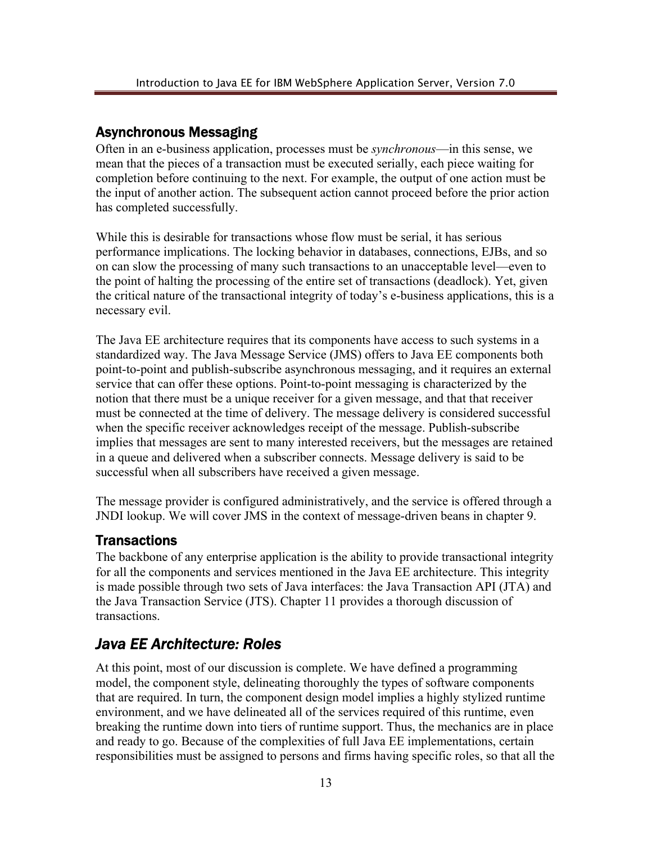#### Asynchronous Messaging

Often in an e-business application, processes must be *synchronous*—in this sense, we mean that the pieces of a transaction must be executed serially, each piece waiting for completion before continuing to the next. For example, the output of one action must be the input of another action. The subsequent action cannot proceed before the prior action has completed successfully.

While this is desirable for transactions whose flow must be serial, it has serious performance implications. The locking behavior in databases, connections, EJBs, and so on can slow the processing of many such transactions to an unacceptable level—even to the point of halting the processing of the entire set of transactions (deadlock). Yet, given the critical nature of the transactional integrity of today's e-business applications, this is a necessary evil.

The Java EE architecture requires that its components have access to such systems in a standardized way. The Java Message Service (JMS) offers to Java EE components both point-to-point and publish-subscribe asynchronous messaging, and it requires an external service that can offer these options. Point-to-point messaging is characterized by the notion that there must be a unique receiver for a given message, and that that receiver must be connected at the time of delivery. The message delivery is considered successful when the specific receiver acknowledges receipt of the message. Publish-subscribe implies that messages are sent to many interested receivers, but the messages are retained in a queue and delivered when a subscriber connects. Message delivery is said to be successful when all subscribers have received a given message.

The message provider is configured administratively, and the service is offered through a JNDI lookup. We will cover JMS in the context of message-driven beans in chapter 9.

#### **Transactions**

The backbone of any enterprise application is the ability to provide transactional integrity for all the components and services mentioned in the Java EE architecture. This integrity is made possible through two sets of Java interfaces: the Java Transaction API (JTA) and the Java Transaction Service (JTS). Chapter 11 provides a thorough discussion of transactions.

# *Java EE Architecture: Roles*

At this point, most of our discussion is complete. We have defined a programming model, the component style, delineating thoroughly the types of software components that are required. In turn, the component design model implies a highly stylized runtime environment, and we have delineated all of the services required of this runtime, even breaking the runtime down into tiers of runtime support. Thus, the mechanics are in place and ready to go. Because of the complexities of full Java EE implementations, certain responsibilities must be assigned to persons and firms having specific roles, so that all the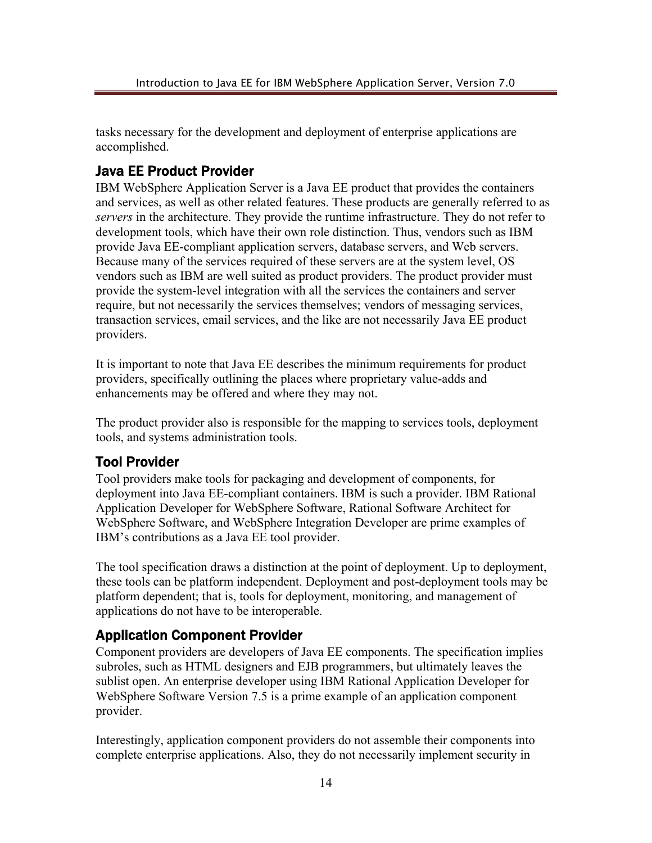tasks necessary for the development and deployment of enterprise applications are accomplished.

### Java EE Product Provider

IBM WebSphere Application Server is a Java EE product that provides the containers and services, as well as other related features. These products are generally referred to as *servers* in the architecture. They provide the runtime infrastructure. They do not refer to development tools, which have their own role distinction. Thus, vendors such as IBM provide Java EE-compliant application servers, database servers, and Web servers. Because many of the services required of these servers are at the system level, OS vendors such as IBM are well suited as product providers. The product provider must provide the system-level integration with all the services the containers and server require, but not necessarily the services themselves; vendors of messaging services, transaction services, email services, and the like are not necessarily Java EE product providers.

It is important to note that Java EE describes the minimum requirements for product providers, specifically outlining the places where proprietary value-adds and enhancements may be offered and where they may not.

The product provider also is responsible for the mapping to services tools, deployment tools, and systems administration tools.

#### Tool Provider

Tool providers make tools for packaging and development of components, for deployment into Java EE-compliant containers. IBM is such a provider. IBM Rational Application Developer for WebSphere Software, Rational Software Architect for WebSphere Software, and WebSphere Integration Developer are prime examples of IBM's contributions as a Java EE tool provider.

The tool specification draws a distinction at the point of deployment. Up to deployment, these tools can be platform independent. Deployment and post-deployment tools may be platform dependent; that is, tools for deployment, monitoring, and management of applications do not have to be interoperable.

#### Application Component Provider

Component providers are developers of Java EE components. The specification implies subroles, such as HTML designers and EJB programmers, but ultimately leaves the sublist open. An enterprise developer using IBM Rational Application Developer for WebSphere Software Version 7.5 is a prime example of an application component provider.

Interestingly, application component providers do not assemble their components into complete enterprise applications. Also, they do not necessarily implement security in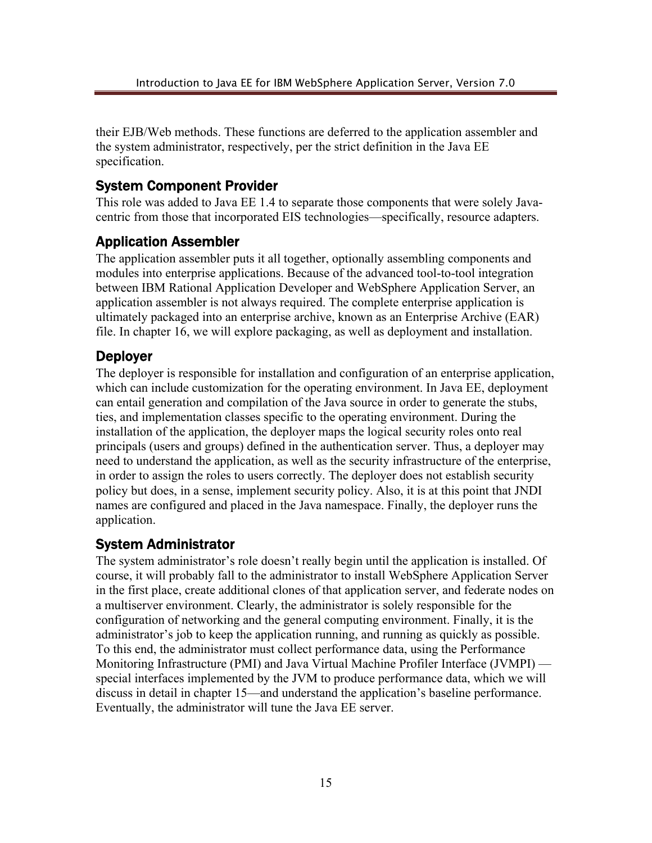their EJB/Web methods. These functions are deferred to the application assembler and the system administrator, respectively, per the strict definition in the Java EE specification.

#### System Component Provider

This role was added to Java EE 1.4 to separate those components that were solely Javacentric from those that incorporated EIS technologies—specifically, resource adapters.

### Application Assembler

The application assembler puts it all together, optionally assembling components and modules into enterprise applications. Because of the advanced tool-to-tool integration between IBM Rational Application Developer and WebSphere Application Server, an application assembler is not always required. The complete enterprise application is ultimately packaged into an enterprise archive, known as an Enterprise Archive (EAR) file. In chapter 16, we will explore packaging, as well as deployment and installation.

#### Deployer

The deployer is responsible for installation and configuration of an enterprise application, which can include customization for the operating environment. In Java EE, deployment can entail generation and compilation of the Java source in order to generate the stubs, ties, and implementation classes specific to the operating environment. During the installation of the application, the deployer maps the logical security roles onto real principals (users and groups) defined in the authentication server. Thus, a deployer may need to understand the application, as well as the security infrastructure of the enterprise, in order to assign the roles to users correctly. The deployer does not establish security policy but does, in a sense, implement security policy. Also, it is at this point that JNDI names are configured and placed in the Java namespace. Finally, the deployer runs the application.

#### System Administrator

The system administrator's role doesn't really begin until the application is installed. Of course, it will probably fall to the administrator to install WebSphere Application Server in the first place, create additional clones of that application server, and federate nodes on a multiserver environment. Clearly, the administrator is solely responsible for the configuration of networking and the general computing environment. Finally, it is the administrator's job to keep the application running, and running as quickly as possible. To this end, the administrator must collect performance data, using the Performance Monitoring Infrastructure (PMI) and Java Virtual Machine Profiler Interface (JVMPI) special interfaces implemented by the JVM to produce performance data, which we will discuss in detail in chapter 15—and understand the application's baseline performance. Eventually, the administrator will tune the Java EE server.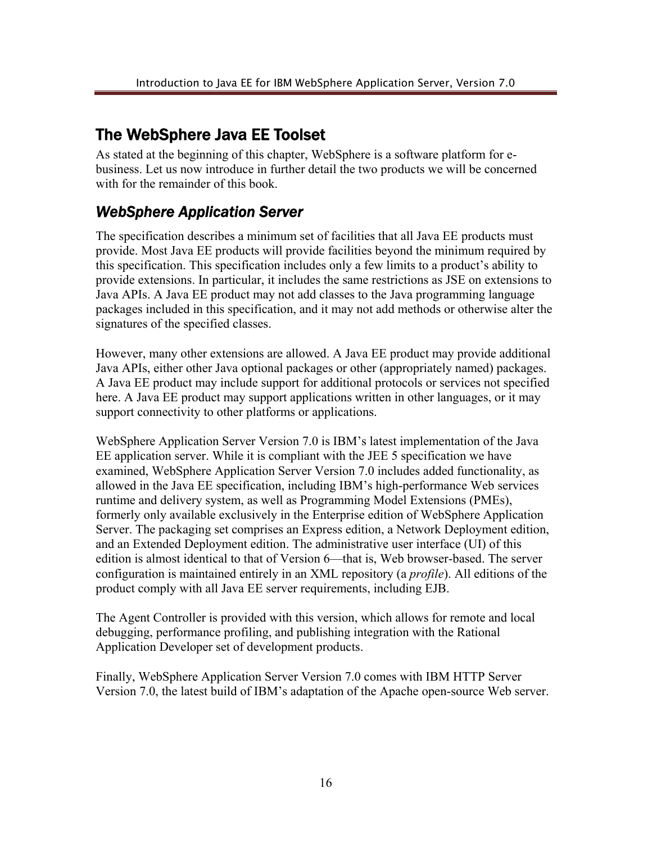# The WebSphere Java EE Toolset

As stated at the beginning of this chapter, WebSphere is a software platform for ebusiness. Let us now introduce in further detail the two products we will be concerned with for the remainder of this book.

# *WebSphere Application Server*

The specification describes a minimum set of facilities that all Java EE products must provide. Most Java EE products will provide facilities beyond the minimum required by this specification. This specification includes only a few limits to a product's ability to provide extensions. In particular, it includes the same restrictions as JSE on extensions to Java APIs. A Java EE product may not add classes to the Java programming language packages included in this specification, and it may not add methods or otherwise alter the signatures of the specified classes.

However, many other extensions are allowed. A Java EE product may provide additional Java APIs, either other Java optional packages or other (appropriately named) packages. A Java EE product may include support for additional protocols or services not specified here. A Java EE product may support applications written in other languages, or it may support connectivity to other platforms or applications.

WebSphere Application Server Version 7.0 is IBM's latest implementation of the Java EE application server. While it is compliant with the JEE 5 specification we have examined, WebSphere Application Server Version 7.0 includes added functionality, as allowed in the Java EE specification, including IBM's high-performance Web services runtime and delivery system, as well as Programming Model Extensions (PMEs), formerly only available exclusively in the Enterprise edition of WebSphere Application Server. The packaging set comprises an Express edition, a Network Deployment edition, and an Extended Deployment edition. The administrative user interface (UI) of this edition is almost identical to that of Version 6—that is, Web browser-based. The server configuration is maintained entirely in an XML repository (a *profile*). All editions of the product comply with all Java EE server requirements, including EJB.

The Agent Controller is provided with this version, which allows for remote and local debugging, performance profiling, and publishing integration with the Rational Application Developer set of development products.

Finally, WebSphere Application Server Version 7.0 comes with IBM HTTP Server Version 7.0, the latest build of IBM's adaptation of the Apache open-source Web server.